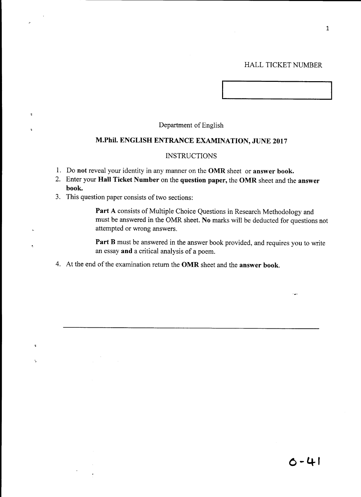## HALL TICKET NUMBER

# Department of English

# **M.Phil. ENGLISH ENTRANCE EXAMINATION, JUNE 2017**

# **INSTRUCTIONS**

- 1. Do **not** reveal your identity in any manner on the **OMR** sheet or **answer book.**
- 2. Enter your **Hall Ticket Number** on the **question paper,** the **OMR** sheet and the **answer book.**
- 3. This question paper consists of two sections:

 $\overline{\phantom{a}}$ 

 $\tau$ 

 $\epsilon_{\rm i}$ 

**Part** A consists of Multiple Choice Questions in Research Methodology and must be answered in the OMR sheet. **No** marks will be deducted for questions not attempted or wrong answers.

Part B must be answered in the answer book provided, and requires you to write an essay **and** a critical analysis of a poem.

4. At the end of the examination return the **OMR** sheet and the **answer book.**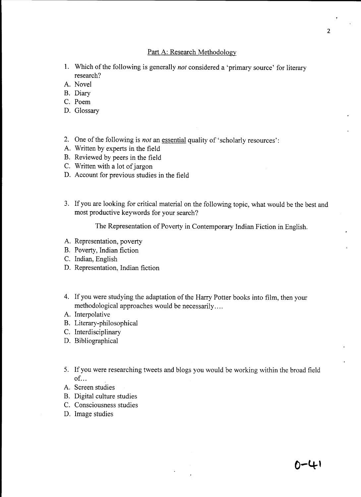# Part A: Research Methodology

- 1. Which of the following is generally *not* considered a 'primary source' for literary research?
- A. Novel
- B. Diary
- C. Poem
- D. Glossary
- 2. One of the following is *not* an essential quality of 'scholarly resources':
- A. Written by experts in the field
- B. Reviewed by peers in the field
- C. Written with a lot of jargon
- D. Account for previous studies in the field
- 3. If you are looking for critical material on the following topic, what would be the best and most productive keywords for your search?

The Representation of Poverty in Contemporary Indian Fiction in English.

- A. Representation, poverty
- B. Poverty, Indian fiction
- C. Indian, English
- D. Representation, Indian fiction
- 4. If you were studying the adaptation of the Harry Potter books into film, then your methodological approaches would be necessarily ....
- A. Interpolative
- B. Literary-philosophical
- C. Interdisciplinary
- D. Bibliographical
- 5. If you were researching tweets and blogs you would be working within the broad field  $of...$
- A. Screen studies
- B. Digital culture studies
- C. Consciousness studies
- D. Image studies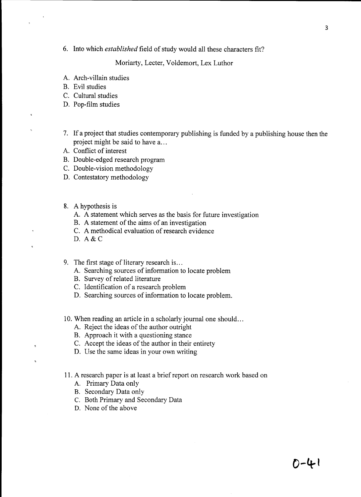6. Into which *established* field of study would all these characters fit?

Moriarty, Lecter, Voldemort, Lex Luthor

- A. Arch-villain studies
- B. Evil studies
- C. Cultural studies
- D. Pop-film studies
- 7. If a project that studies contemporary publishing is funded by a publishing house then the project might be said to have a...
- A. Conflict of interest
- B. Double-edged research program
- C. Double-vision methodology
- D. Contestatory methodology
- 8. A hypothesis is
	- A. A statement which serves as the basis for future investigation
	- B. A statement of the aims of an investigation
	- C. A methodical evaluation of research evidence
	- D. A&C

 $\overline{\mathbf{z}}$ 

- 9. The first stage of literary research is...
	- A. Searching sources of information to locate problem
	- B. Survey of related literature
	- C. Identification of a research problem
	- D. Searching sources of information to locate problem.
- 10. When reading an article in a scholarly journal one should...
	- A. Reject the ideas of the author outright
	- B. Approach it with a questioning stance
	- C. Accept the ideas of the author in their entirety
	- D. Use the same ideas in your own writing
- 11. A research paper is at least a brief report on research work based on
	- A. Primary Data only
	- B. Secondary Data only
	- C. Both Primary and Secondary Data
	- D. None of the above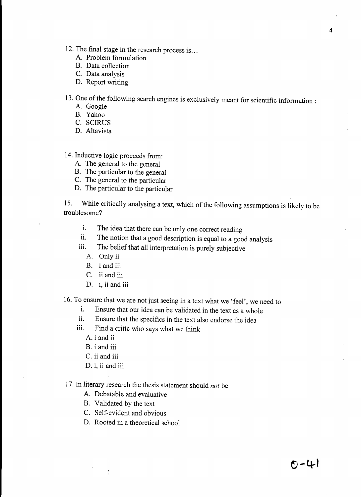- 12. The final stage in the research process is ...
	- A. Problem formulation
	- B. Data collection
	- C. Data analysis
	- D. Report writing

13. One of the following search engines is exclusively meant for scientific information:

- A. Google
- B. Yahoo
- C. SCIRUS
- D. Altavista
- 14. Inductive logic proceeds from:
	- A. The general to the general
	- B. The particular to the general
	- C. The general to the particular
	- D. The particular to the particular

15. While critically analysing a text, which of the following assumptions is likely to be troublesome?

- i. The idea that there can be only one correct reading
- ii. The notion that a good description is equal to a good analysis
- iii. The belief that all interpretation is purely subjective
	- A. Only ii
	- B. i and iii
	- C. ii and iii
	- D. i, ii and iii
- 16. To ensure that we are not just seeing in a text what we 'feel', we need to
	- i. Ensure that our idea can be validated in the text as a whole
	- ii. Ensure that the specifics in the text also endorse the idea
	- iii. Find a critic who says what we think
		- A. i and ii
		- B. i and iii
		- C. ii and iii
		- D. i, ii and iii
- 17. In literary research the thesis statement should *not* be
	- A. Debatable and evaluative
	- B. Validated by the text
	- C. Self-evident and obvious
	- D. Rooted in a theoretical school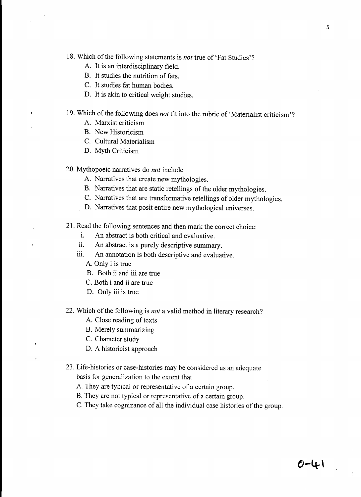18. Which of the following statements is *not* true of 'Fat Studies'?

- A. It is an interdisciplinary field.
- B. It studies the nutrition of fats.
- C. It studies fat human bodies.
- D. It is akin to critical weight studies.

# 19. Which of the following does *not* fit into the rubric of' Materialist criticism'?

- A. Marxist criticism
- B. New Historicism
- C. Cultural Materialism
- D. Myth Criticism

20. Mythopoeic narratives do *not* include

- A. Narratives that create new mythologies.
- B. Narratives that are static retellings of the older mythologies.
- C. Narratives that are transformative retellings of older mythologies.
- D. Narratives that posit entire new mythological universes.

21. Read the following sentences and then mark the correct choice:

- i. An abstract is both critical and evaluative.
- ii. An abstract is a purely descriptive summary.
- iii. An annotation is both descriptive and evaluative.
	- A. Only i is true
	- B. Both ii and iii are true
	- C. Both i and ii are true
	- D. Only iii is true
- 22. Which of the following is *not* a valid method in literary research?
	- A. Close reading of texts
	- B. Merely summarizing
	- C. Character study
	- D. A historicist approach

# 23. Life-histories or case-histories may be considered as an adequate basis for generalization to the extent that

- A. They are typical or representative of a certain group.
- B. They are not typical or representative of a certain group.
- C. They take cognizance of all the individual case histories of the group.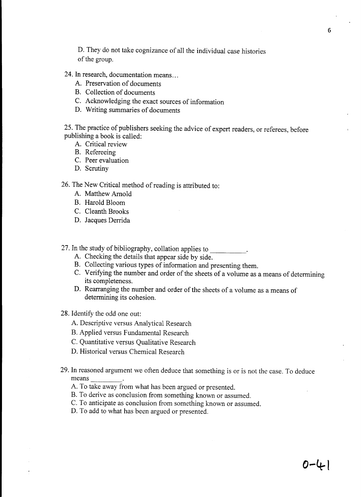D. They do not take cognizance of all the individual case histories of the group.

# 24. In research, documentation means...

- A. Preservation of documents
- B. Collection of documents
- C. Acknowledging the exact sources of information
- D. Writing summaries of documents

25. The practice of publishers seeking the advice of expert readers, or referees, before publishing a book is called:

- A. Critical review
- B. Refereeing
- C. Peer evaluation
- D. Scrutiny

26. The New Critical method of reading is attributed to:

- A. Matthew Arnold
- B. Harold Bloom
- C. Cleanth Brooks
- D. Jacques Derrida
- 27. In the study of bibliography, collation applies to
	- A. Checking the details that appear side by side.
	- B. Collecting various types of information and presenting them.
	- C. Verifying the number and order of the sheets of a volume as a means of determining its completeness.
	- D. Rearranging the number and order of the sheets of a volume as a means of determining its cohesion.
- 28. Identify the odd one out:
	- A. Descriptive versus Analytical Research
	- B. Applied versus Fundamental Research
	- C. Quantitative versus Qualitative Research
	- D. Historical versus Chemical Research
- 29. In reasoned argument we often deduce that something is or is not the case. To deduce means \_\_\_\_\_\_\_\_\_.
	- A. To take away from what has been argued or presented.
	- B. To derive as conclusion from something known or assumed.
	- C. To anticipate as conclusion from something known or assumed.
	- D. To add to what has been argued or presented.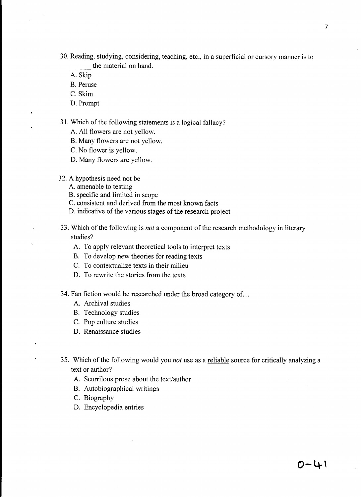30. Reading, studying, considering, teaching. etc., in a superficial or cursory manner is to the material on hand.

A. Skip

- B. Peruse
- C. Skim
- D. Prompt

#### 31. Which of the following statements is a logical fallacy?

- A. All flowers are not yellow.
- B. Many flowers are not yellow.
- C. No flower is yellow.
- D. Many flowers are yellow.
- 32. A hypothesis need not be
	- A. amenable to testing
	- B. specific and limited in scope
	- C. consistent and derived from the most known facts
	- D. indicative of the various stages of the research project
- 33. Which of the following is *not* a component of the research methodology in literary studies?
	- A. To apply relevant theoretical tools to interpret texts
	- B. To develop new theories for reading texts
	- C. To contextualize texts in their milieu
	- D. To rewrite the stories from the texts
- 34. Fan fiction would be researched under the broad category of ...
	- A. Archival studies
	- B. Technology studies
	- C. Pop culture studies
	- D. Renaissance studies
- 35. Which of the following would you *not* use as a reliable source for critically analyzing a text or author?
	- A. Scurrilous prose about the text/author
	- B. Autobiographical writings
	- C. Biography
	- D. Encyclopedia entries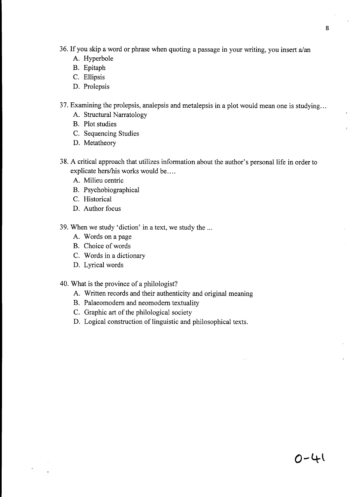- 36. If you skip a word or phrase when quoting a passage in your writing, you insert  $a$ /an
	- A. Hyperbole
	- B. Epitaph
	- C. Ellipsis
	- D. Prolepsis
- 37. Examining the prolepsis, analepsis and metalepsis in a plot would mean one is studying ...
	- A. Structural Narratology
	- B. Plot studies
	- C. Sequencing Studies
	- D. Metatheory
- 38. A critical approach that utilizes information about the author's personal life in order to explicate hers/his works would be....
	- A. Milieu centric
	- B. Psychobiographical
	- C. Historical
	- D. Author focus
- 39. When we study 'diction' in a text, we study the ...
	- A. Words on a page
	- B. Choice of words
	- C. Words in a dictionary
	- D. Lyrical words
- 40. What is the province of a philologist?
	- A. Written records and their authenticity and original meaning
	- B. Palaeomodem and neomodem textuality
	- C. Graphic art of the philological society
	- D. Logical construction of linguistic and philosophical texts.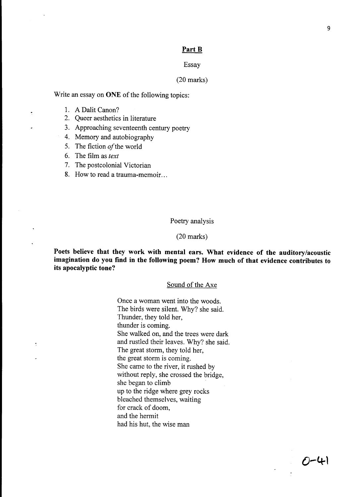#### **Part B**

#### Essay

#### (20 marks)

Write an essay on **ONE** of the following topics:

- 1. A Dalit Canon?
- 2. Queer aesthetics in literature
- 3. Approaching seventeenth century poetry
- 4. Memory and autobiography
- 5. The fiction *of* the world
- 6. The film as *text*
- 7. The postcolonial Victorian
- 8. How to read a trauma-memoir. ..

#### Poetry analysis

#### (20 marks)

**Poets believe that they work with mental ears. What evidence of the auditory/acoustic imagination do you find in the following poem? How much of that evidence contributes to its apocalyptic tone?** 

#### Sound of the Axe

Once a woman went into the woods. The birds were silent. Why? she said. Thunder, they told her, thunder is coming. She walked on, and the trees were dark and rustled their leaves. Why? she said. The great storm, they told her, the great storm is coming. She came to the river, it rushed by without reply, she crossed the bridge, she began to climb **up** to the ridge where grey rocks bleached themselves, waiting for crack of doom, and the hermit had his hut, the wise man

 $O - 4$